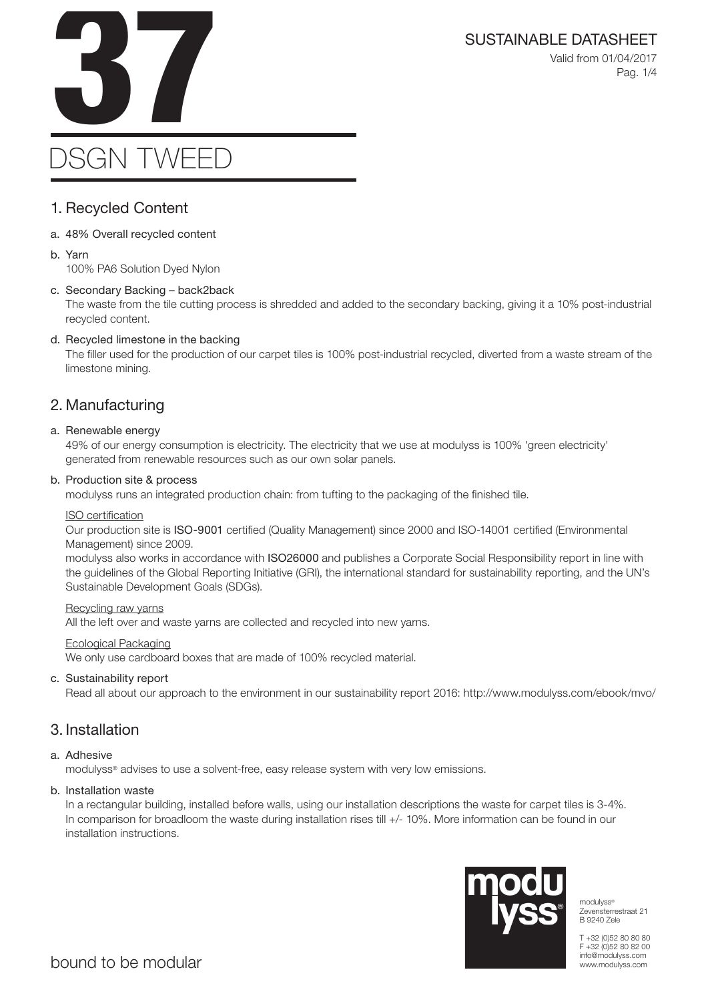SUSTAINABLE DATASHEET<br>Valid from 01/04/2017<br>Pag. 1/4 Valid from 01/04/2017 Pag. 1/4

# DSGN TWEED

### 1. Recycled Content

- a. 48% Overall recycled content
- b. Yarn

100% PA6 Solution Dyed Nylon

### c. Secondary Backing – back2back

The waste from the tile cutting process is shredded and added to the secondary backing, giving it a 10% post-industrial recycled content.

### d. Recycled limestone in the backing

The filler used for the production of our carpet tiles is 100% post-industrial recycled, diverted from a waste stream of the limestone mining.

### 2. Manufacturing

### a. Renewable energy

49% of our energy consumption is electricity. The electricity that we use at modulyss is 100% 'green electricity' generated from renewable resources such as our own solar panels.

### b. Production site & process

modulyss runs an integrated production chain: from tufting to the packaging of the finished tile.

### ISO certification

Our production site is ISO-9001 certified (Quality Management) since 2000 and ISO-14001 certified (Environmental Management) since 2009.

modulyss also works in accordance with ISO26000 and publishes a Corporate Social Responsibility report in line with the guidelines of the Global Reporting Initiative (GRI), the international standard for sustainability reporting, and the UN's Sustainable Development Goals (SDGs).

### Recycling raw yarns

All the left over and waste yarns are collected and recycled into new yarns.

### Ecological Packaging

We only use cardboard boxes that are made of 100% recycled material.

### c. Sustainability report

Read all about our approach to the environment in our sustainability report 2016: http://www.modulyss.com/ebook/mvo/

### 3. Installation

### a. Adhesive

modulyss® advises to use a solvent-free, easy release system with very low emissions.

### b. Installation waste

In a rectangular building, installed before walls, using our installation descriptions the waste for carpet tiles is 3-4%. In comparison for broadloom the waste during installation rises till +/- 10%. More information can be found in our installation instructions.



modulyss® Zevensterrestraat 21 B 9240 Zele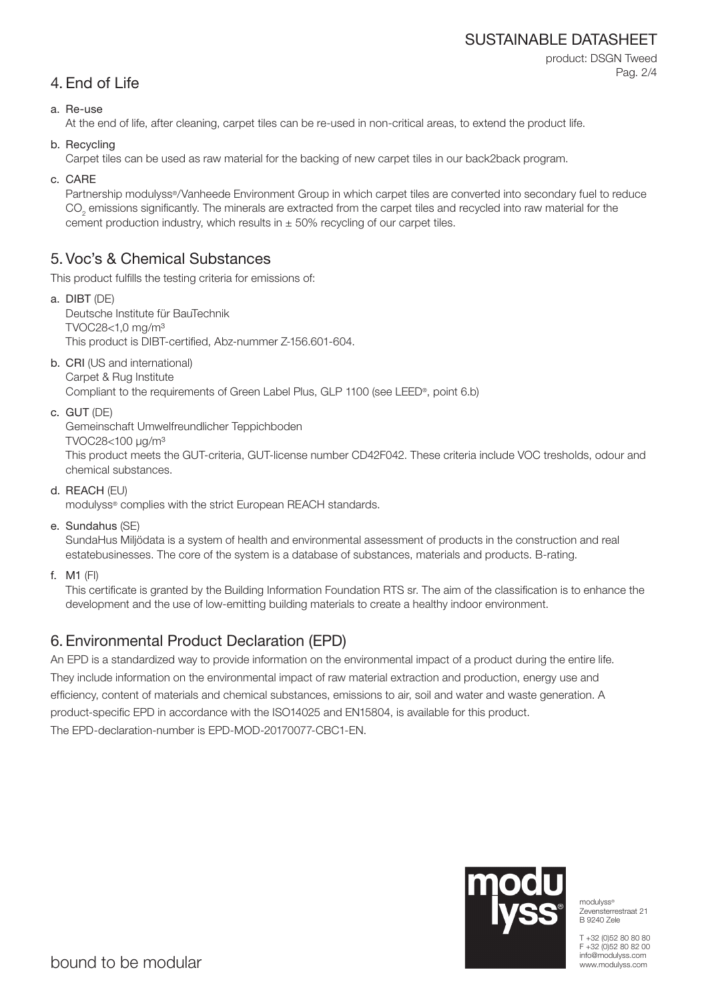### SUSTAINABLE DATASHEET

product: DSGN Tweed Pag. 2/4

### 4. End of Life

a. Re-use

At the end of life, after cleaning, carpet tiles can be re-used in non-critical areas, to extend the product life.

b. Recycling

Carpet tiles can be used as raw material for the backing of new carpet tiles in our back2back program.

c. CARE

Partnership modulyss®/Vanheede Environment Group in which carpet tiles are converted into secondary fuel to reduce  $\mathrm{CO}_2$  emissions significantly. The minerals are extracted from the carpet tiles and recycled into raw material for the cement production industry, which results in  $\pm$  50% recycling of our carpet tiles.

### 5. Voc's & Chemical Substances

This product fulfills the testing criteria for emissions of:

- a. DIBT (DE) Deutsche Institute für BauTechnik TVOC28<1,0 mg/m³ This product is DIBT-certified, Abz-nummer Z-156.601-604.
- b. CRI (US and international) Carpet & Rug Institute

Compliant to the requirements of Green Label Plus, GLP 1100 (see LEED®, point 6.b)

c. GUT (DE)

Gemeinschaft Umwelfreundlicher Teppichboden

TVOC28<100 μg/m³

This product meets the GUT-criteria, GUT-license number CD42F042. These criteria include VOC tresholds, odour and chemical substances.

d. REACH (EU)

modulyss® complies with the strict European REACH standards.

e. Sundahus (SE)

SundaHus Miljödata is a system of health and environmental assessment of products in the construction and real estatebusinesses. The core of the system is a database of substances, materials and products. B-rating.

f. M1 (FI)

This certificate is granted by the Building Information Foundation RTS sr. The aim of the classification is to enhance the development and the use of low-emitting building materials to create a healthy indoor environment.

## 6. Environmental Product Declaration (EPD)

An EPD is a standardized way to provide information on the environmental impact of a product during the entire life. They include information on the environmental impact of raw material extraction and production, energy use and efficiency, content of materials and chemical substances, emissions to air, soil and water and waste generation. A product-specific EPD in accordance with the ISO14025 and EN15804, is available for this product. The EPD-declaration-number is EPD-MOD-20170077-CBC1-EN.



modulyss® Zevensterrestraat 21 B 9240 Zele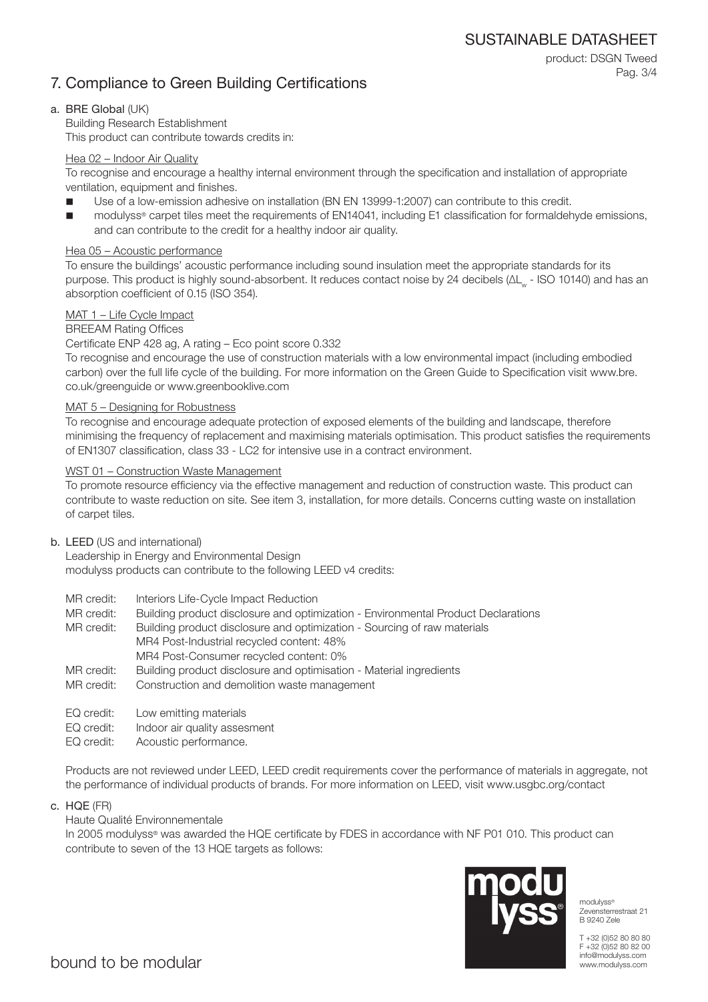SUSTAINABLE DATASHEET

### 7. Compliance to Green Building Certifications

product: DSGN Tweed Pag. 3/4

### a. BRE Global (UK)

Building Research Establishment This product can contribute towards credits in:

### Hea 02 – Indoor Air Quality

To recognise and encourage a healthy internal environment through the specification and installation of appropriate ventilation, equipment and finishes.

- Use of a low-emission adhesive on installation (BN EN 13999-1:2007) can contribute to this credit.
- modulyss® carpet tiles meet the requirements of EN14041, including E1 classification for formaldehyde emissions, and can contribute to the credit for a healthy indoor air quality.

### Hea 05 – Acoustic performance

To ensure the buildings' acoustic performance including sound insulation meet the appropriate standards for its purpose. This product is highly sound-absorbent. It reduces contact noise by 24 decibels (ΔL<sub>w</sub> - ISO 10140) and has an absorption coefficient of 0.15 (ISO 354).

### MAT 1 – Life Cycle Impact

### BREEAM Rating Offices

Certificate ENP 428 ag, A rating – Eco point score 0.332

To recognise and encourage the use of construction materials with a low environmental impact (including embodied carbon) over the full life cycle of the building. For more information on the Green Guide to Specification visit www.bre. co.uk/greenguide or www.greenbooklive.com

### MAT 5 – Designing for Robustness

To recognise and encourage adequate protection of exposed elements of the building and landscape, therefore minimising the frequency of replacement and maximising materials optimisation. This product satisfies the requirements of EN1307 classification, class 33 - LC2 for intensive use in a contract environment.

### WST 01 – Construction Waste Management

To promote resource efficiency via the effective management and reduction of construction waste. This product can contribute to waste reduction on site. See item 3, installation, for more details. Concerns cutting waste on installation of carpet tiles.

### b. LEED (US and international)

Leadership in Energy and Environmental Design modulyss products can contribute to the following LEED v4 credits:

- MR credit: Interiors Life-Cycle Impact Reduction
- MR credit: Building product disclosure and optimization Environmental Product Declarations

MR credit: Building product disclosure and optimization - Sourcing of raw materials MR4 Post-Industrial recycled content: 48% MR4 Post-Consumer recycled content: 0%

- MR credit: Building product disclosure and optimisation Material ingredients
- MR credit: Construction and demolition waste management
- EQ credit: Low emitting materials
- EQ credit: Indoor air quality assesment
- EQ credit: Acoustic performance.

Products are not reviewed under LEED, LEED credit requirements cover the performance of materials in aggregate, not the performance of individual products of brands. For more information on LEED, visit www.usgbc.org/contact

c. HQE (FR)

### Haute Qualité Environnementale

In 2005 modulyss® was awarded the HQE certificate by FDES in accordance with NF P01 010. This product can contribute to seven of the 13 HQE targets as follows:



modulyss® Zevensterrestraat 21 B 9240 Zele